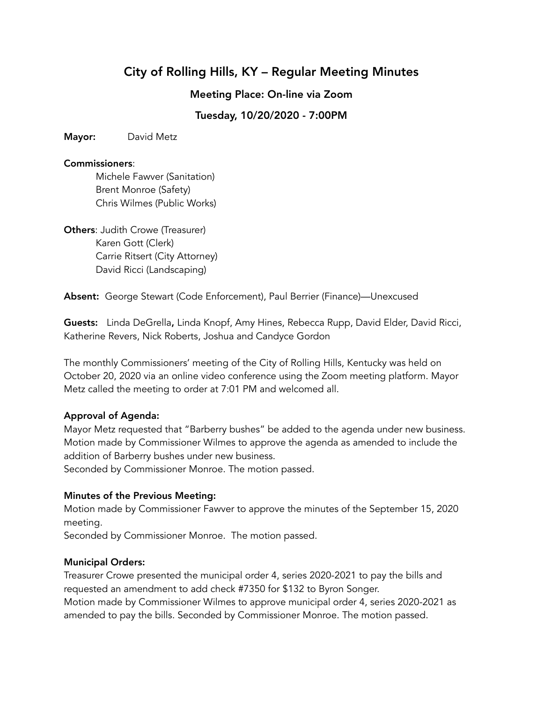# City of Rolling Hills, KY – Regular Meeting Minutes

Meeting Place: On-line via Zoom

Tuesday, 10/20/2020 - 7:00PM

Mayor: David Metz

## Commissioners:

Michele Fawver (Sanitation) Brent Monroe (Safety) Chris Wilmes (Public Works)

**Others: Judith Crowe (Treasurer)** Karen Gott (Clerk) Carrie Ritsert (City Attorney) David Ricci (Landscaping)

Absent: George Stewart (Code Enforcement), Paul Berrier (Finance)—Unexcused

Guests: Linda DeGrella, Linda Knopf, Amy Hines, Rebecca Rupp, David Elder, David Ricci, Katherine Revers, Nick Roberts, Joshua and Candyce Gordon

The monthly Commissioners' meeting of the City of Rolling Hills, Kentucky was held on October 20, 2020 via an online video conference using the Zoom meeting platform. Mayor Metz called the meeting to order at 7:01 PM and welcomed all.

# Approval of Agenda:

Mayor Metz requested that "Barberry bushes" be added to the agenda under new business. Motion made by Commissioner Wilmes to approve the agenda as amended to include the addition of Barberry bushes under new business.

Seconded by Commissioner Monroe. The motion passed.

# Minutes of the Previous Meeting:

Motion made by Commissioner Fawver to approve the minutes of the September 15, 2020 meeting.

Seconded by Commissioner Monroe. The motion passed.

# Municipal Orders:

Treasurer Crowe presented the municipal order 4, series 2020-2021 to pay the bills and requested an amendment to add check #7350 for \$132 to Byron Songer. Motion made by Commissioner Wilmes to approve municipal order 4, series 2020-2021 as amended to pay the bills. Seconded by Commissioner Monroe. The motion passed.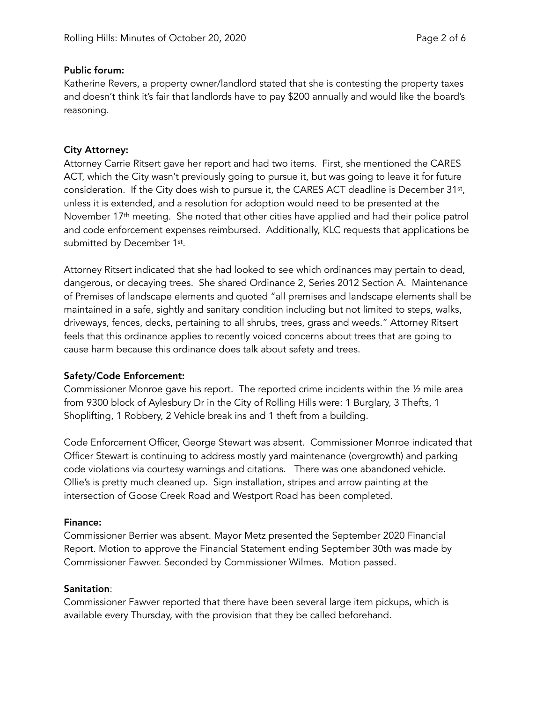## Public forum:

Katherine Revers, a property owner/landlord stated that she is contesting the property taxes and doesn't think it's fair that landlords have to pay \$200 annually and would like the board's reasoning.

## City Attorney:

Attorney Carrie Ritsert gave her report and had two items. First, she mentioned the CARES ACT, which the City wasn't previously going to pursue it, but was going to leave it for future consideration. If the City does wish to pursue it, the CARES ACT deadline is December 31st, unless it is extended, and a resolution for adoption would need to be presented at the November 17<sup>th</sup> meeting. She noted that other cities have applied and had their police patrol and code enforcement expenses reimbursed. Additionally, KLC requests that applications be submitted by December 1st.

Attorney Ritsert indicated that she had looked to see which ordinances may pertain to dead, dangerous, or decaying trees. She shared Ordinance 2, Series 2012 Section A. Maintenance of Premises of landscape elements and quoted "all premises and landscape elements shall be maintained in a safe, sightly and sanitary condition including but not limited to steps, walks, driveways, fences, decks, pertaining to all shrubs, trees, grass and weeds." Attorney Ritsert feels that this ordinance applies to recently voiced concerns about trees that are going to cause harm because this ordinance does talk about safety and trees.

# Safety/Code Enforcement:

Commissioner Monroe gave his report. The reported crime incidents within the ½ mile area from 9300 block of Aylesbury Dr in the City of Rolling Hills were: 1 Burglary, 3 Thefts, 1 Shoplifting, 1 Robbery, 2 Vehicle break ins and 1 theft from a building.

Code Enforcement Officer, George Stewart was absent. Commissioner Monroe indicated that Officer Stewart is continuing to address mostly yard maintenance (overgrowth) and parking code violations via courtesy warnings and citations. There was one abandoned vehicle. Ollie's is pretty much cleaned up. Sign installation, stripes and arrow painting at the intersection of Goose Creek Road and Westport Road has been completed.

#### Finance:

Commissioner Berrier was absent. Mayor Metz presented the September 2020 Financial Report. Motion to approve the Financial Statement ending September 30th was made by Commissioner Fawver. Seconded by Commissioner Wilmes. Motion passed.

#### Sanitation:

Commissioner Fawver reported that there have been several large item pickups, which is available every Thursday, with the provision that they be called beforehand.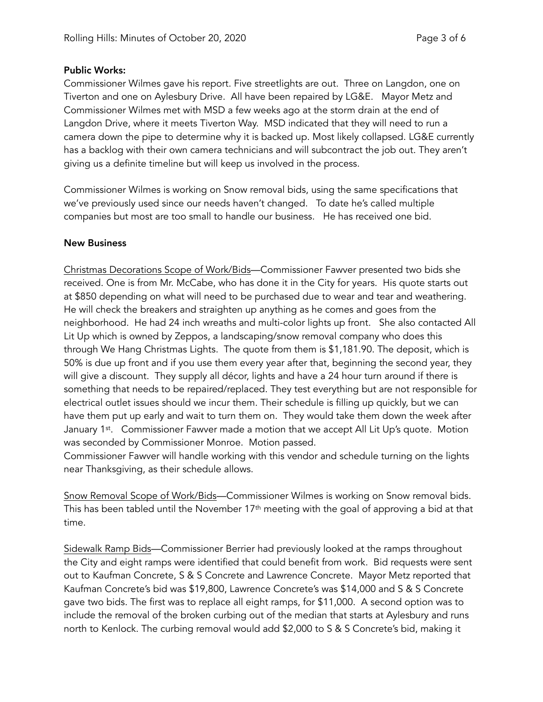## Public Works:

Commissioner Wilmes gave his report. Five streetlights are out. Three on Langdon, one on Tiverton and one on Aylesbury Drive. All have been repaired by LG&E. Mayor Metz and Commissioner Wilmes met with MSD a few weeks ago at the storm drain at the end of Langdon Drive, where it meets Tiverton Way. MSD indicated that they will need to run a camera down the pipe to determine why it is backed up. Most likely collapsed. LG&E currently has a backlog with their own camera technicians and will subcontract the job out. They aren't giving us a definite timeline but will keep us involved in the process.

Commissioner Wilmes is working on Snow removal bids, using the same specifications that we've previously used since our needs haven't changed. To date he's called multiple companies but most are too small to handle our business. He has received one bid.

## New Business

Christmas Decorations Scope of Work/Bids—Commissioner Fawver presented two bids she received. One is from Mr. McCabe, who has done it in the City for years. His quote starts out at \$850 depending on what will need to be purchased due to wear and tear and weathering. He will check the breakers and straighten up anything as he comes and goes from the neighborhood. He had 24 inch wreaths and multi-color lights up front. She also contacted All Lit Up which is owned by Zeppos, a landscaping/snow removal company who does this through We Hang Christmas Lights. The quote from them is \$1,181.90. The deposit, which is 50% is due up front and if you use them every year after that, beginning the second year, they will give a discount. They supply all décor, lights and have a 24 hour turn around if there is something that needs to be repaired/replaced. They test everything but are not responsible for electrical outlet issues should we incur them. Their schedule is filling up quickly, but we can have them put up early and wait to turn them on. They would take them down the week after January 1<sup>st</sup>. Commissioner Fawver made a motion that we accept All Lit Up's quote. Motion was seconded by Commissioner Monroe. Motion passed.

Commissioner Fawver will handle working with this vendor and schedule turning on the lights near Thanksgiving, as their schedule allows.

Snow Removal Scope of Work/Bids—Commissioner Wilmes is working on Snow removal bids. This has been tabled until the November 17<sup>th</sup> meeting with the goal of approving a bid at that time.

Sidewalk Ramp Bids—Commissioner Berrier had previously looked at the ramps throughout the City and eight ramps were identified that could benefit from work. Bid requests were sent out to Kaufman Concrete, S & S Concrete and Lawrence Concrete. Mayor Metz reported that Kaufman Concrete's bid was \$19,800, Lawrence Concrete's was \$14,000 and S & S Concrete gave two bids. The first was to replace all eight ramps, for \$11,000. A second option was to include the removal of the broken curbing out of the median that starts at Aylesbury and runs north to Kenlock. The curbing removal would add \$2,000 to S & S Concrete's bid, making it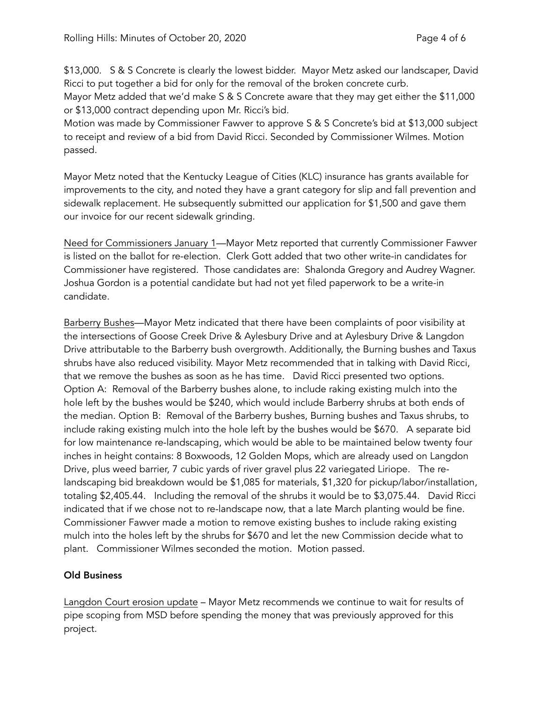\$13,000. S & S Concrete is clearly the lowest bidder. Mayor Metz asked our landscaper, David Ricci to put together a bid for only for the removal of the broken concrete curb.

Mayor Metz added that we'd make S & S Concrete aware that they may get either the \$11,000 or \$13,000 contract depending upon Mr. Ricci's bid.

Motion was made by Commissioner Fawver to approve S & S Concrete's bid at \$13,000 subject to receipt and review of a bid from David Ricci. Seconded by Commissioner Wilmes. Motion passed.

Mayor Metz noted that the Kentucky League of Cities (KLC) insurance has grants available for improvements to the city, and noted they have a grant category for slip and fall prevention and sidewalk replacement. He subsequently submitted our application for \$1,500 and gave them our invoice for our recent sidewalk grinding.

Need for Commissioners January 1—Mayor Metz reported that currently Commissioner Fawver is listed on the ballot for re-election. Clerk Gott added that two other write-in candidates for Commissioner have registered. Those candidates are: Shalonda Gregory and Audrey Wagner. Joshua Gordon is a potential candidate but had not yet filed paperwork to be a write-in candidate.

Barberry Bushes—Mayor Metz indicated that there have been complaints of poor visibility at the intersections of Goose Creek Drive & Aylesbury Drive and at Aylesbury Drive & Langdon Drive attributable to the Barberry bush overgrowth. Additionally, the Burning bushes and Taxus shrubs have also reduced visibility. Mayor Metz recommended that in talking with David Ricci, that we remove the bushes as soon as he has time. David Ricci presented two options. Option A: Removal of the Barberry bushes alone, to include raking existing mulch into the hole left by the bushes would be \$240, which would include Barberry shrubs at both ends of the median. Option B: Removal of the Barberry bushes, Burning bushes and Taxus shrubs, to include raking existing mulch into the hole left by the bushes would be \$670. A separate bid for low maintenance re-landscaping, which would be able to be maintained below twenty four inches in height contains: 8 Boxwoods, 12 Golden Mops, which are already used on Langdon Drive, plus weed barrier, 7 cubic yards of river gravel plus 22 variegated Liriope. The relandscaping bid breakdown would be \$1,085 for materials, \$1,320 for pickup/labor/installation, totaling \$2,405.44. Including the removal of the shrubs it would be to \$3,075.44. David Ricci indicated that if we chose not to re-landscape now, that a late March planting would be fine. Commissioner Fawver made a motion to remove existing bushes to include raking existing mulch into the holes left by the shrubs for \$670 and let the new Commission decide what to plant. Commissioner Wilmes seconded the motion. Motion passed.

# Old Business

Langdon Court erosion update – Mayor Metz recommends we continue to wait for results of pipe scoping from MSD before spending the money that was previously approved for this project.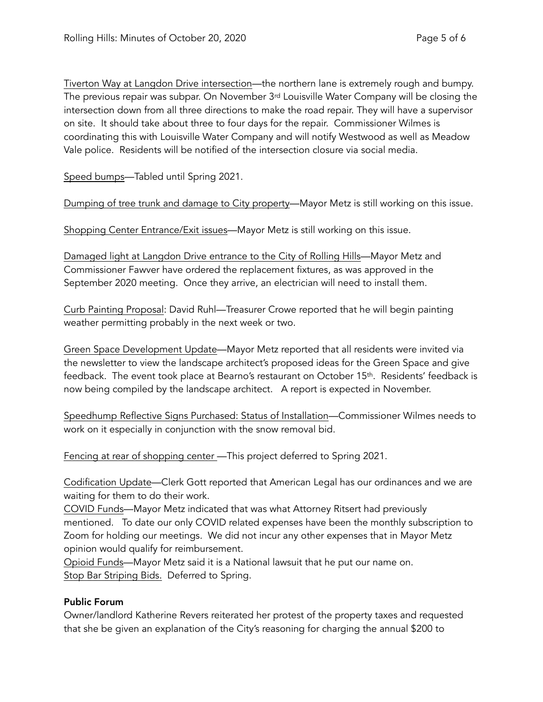Tiverton Way at Langdon Drive intersection—the northern lane is extremely rough and bumpy. The previous repair was subpar. On November 3<sup>rd</sup> Louisville Water Company will be closing the intersection down from all three directions to make the road repair. They will have a supervisor on site. It should take about three to four days for the repair. Commissioner Wilmes is coordinating this with Louisville Water Company and will notify Westwood as well as Meadow Vale police. Residents will be notified of the intersection closure via social media.

Speed bumps—Tabled until Spring 2021.

Dumping of tree trunk and damage to City property—Mayor Metz is still working on this issue.

Shopping Center Entrance/Exit issues—Mayor Metz is still working on this issue.

Damaged light at Langdon Drive entrance to the City of Rolling Hills—Mayor Metz and Commissioner Fawver have ordered the replacement fixtures, as was approved in the September 2020 meeting. Once they arrive, an electrician will need to install them.

Curb Painting Proposal: David Ruhl—Treasurer Crowe reported that he will begin painting weather permitting probably in the next week or two.

Green Space Development Update—Mayor Metz reported that all residents were invited via the newsletter to view the landscape architect's proposed ideas for the Green Space and give feedback. The event took place at Bearno's restaurant on October 15<sup>th</sup>. Residents' feedback is now being compiled by the landscape architect. A report is expected in November.

Speedhump Reflective Signs Purchased: Status of Installation—Commissioner Wilmes needs to work on it especially in conjunction with the snow removal bid.

Fencing at rear of shopping center - This project deferred to Spring 2021.

Codification Update—Clerk Gott reported that American Legal has our ordinances and we are waiting for them to do their work.

COVID Funds—Mayor Metz indicated that was what Attorney Ritsert had previously mentioned. To date our only COVID related expenses have been the monthly subscription to Zoom for holding our meetings. We did not incur any other expenses that in Mayor Metz opinion would qualify for reimbursement.

Opioid Funds—Mayor Metz said it is a National lawsuit that he put our name on. Stop Bar Striping Bids. Deferred to Spring.

# Public Forum

Owner/landlord Katherine Revers reiterated her protest of the property taxes and requested that she be given an explanation of the City's reasoning for charging the annual \$200 to